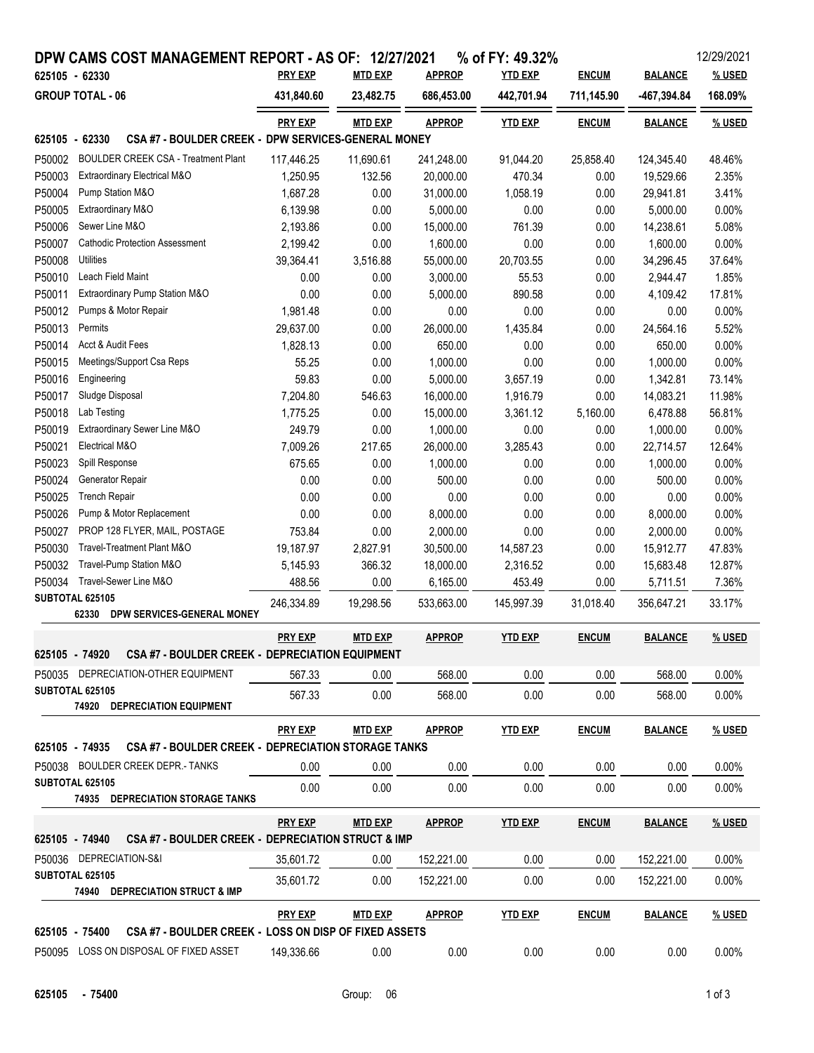|                | DPW CAMS COST MANAGEMENT REPORT - AS OF: 12/27/2021                          |                |                |               | % of FY: 49.32% |              |                | 12/29/2021    |
|----------------|------------------------------------------------------------------------------|----------------|----------------|---------------|-----------------|--------------|----------------|---------------|
| 625105 - 62330 |                                                                              | <b>PRY EXP</b> | <b>MTD EXP</b> | <b>APPROP</b> | <b>YTD EXP</b>  | <b>ENCUM</b> | <b>BALANCE</b> | % USED        |
|                | <b>GROUP TOTAL - 06</b>                                                      | 431,840.60     | 23,482.75      | 686,453.00    | 442,701.94      | 711,145.90   | -467,394.84    | 168.09%       |
|                |                                                                              | <b>PRY EXP</b> | <b>MTD EXP</b> | <b>APPROP</b> | <b>YTD EXP</b>  | <b>ENCUM</b> | <b>BALANCE</b> | % USED        |
| 625105 - 62330 | CSA #7 - BOULDER CREEK - DPW SERVICES-GENERAL MONEY                          |                |                |               |                 |              |                |               |
| P50002         | <b>BOULDER CREEK CSA - Treatment Plant</b>                                   | 117,446.25     | 11,690.61      | 241,248.00    | 91,044.20       | 25,858.40    | 124,345.40     | 48.46%        |
| P50003         | Extraordinary Electrical M&O                                                 | 1,250.95       | 132.56         | 20,000.00     | 470.34          | 0.00         | 19,529.66      | 2.35%         |
| P50004         | Pump Station M&O                                                             | 1,687.28       | 0.00           | 31,000.00     | 1,058.19        | 0.00         | 29,941.81      | 3.41%         |
| P50005         | Extraordinary M&O                                                            | 6,139.98       | 0.00           | 5,000.00      | 0.00            | 0.00         | 5,000.00       | 0.00%         |
| P50006         | Sewer Line M&O                                                               | 2,193.86       | 0.00           | 15,000.00     | 761.39          | 0.00         | 14,238.61      | 5.08%         |
| P50007         | <b>Cathodic Protection Assessment</b>                                        | 2,199.42       | 0.00           | 1,600.00      | 0.00            | 0.00         | 1,600.00       | 0.00%         |
| P50008         | Utilities                                                                    | 39,364.41      | 3,516.88       | 55,000.00     | 20,703.55       | 0.00         | 34,296.45      | 37.64%        |
| P50010         | Leach Field Maint                                                            | 0.00           | 0.00           | 3,000.00      | 55.53           | 0.00         | 2,944.47       | 1.85%         |
| P50011         | Extraordinary Pump Station M&O                                               | 0.00           | 0.00           | 5,000.00      | 890.58          | 0.00         | 4,109.42       | 17.81%        |
| P50012         | Pumps & Motor Repair                                                         | 1,981.48       | 0.00           | 0.00          | 0.00            | 0.00         | 0.00           | 0.00%         |
| P50013         | Permits                                                                      | 29,637.00      | 0.00           | 26,000.00     | 1,435.84        | 0.00         | 24,564.16      | 5.52%         |
| P50014         | Acct & Audit Fees                                                            | 1,828.13       | 0.00           | 650.00        | 0.00            | 0.00         | 650.00         | 0.00%         |
| P50015         | Meetings/Support Csa Reps                                                    | 55.25          | 0.00           | 1,000.00      | 0.00            | 0.00         | 1,000.00       | 0.00%         |
| P50016         | Engineering                                                                  | 59.83          | 0.00           | 5,000.00      | 3,657.19        | 0.00         | 1,342.81       | 73.14%        |
| P50017         | Sludge Disposal                                                              | 7,204.80       | 546.63         | 16,000.00     | 1,916.79        | 0.00         | 14,083.21      | 11.98%        |
| P50018         | Lab Testing                                                                  | 1,775.25       | 0.00           | 15,000.00     | 3,361.12        | 5,160.00     | 6,478.88       | 56.81%        |
| P50019         | Extraordinary Sewer Line M&O                                                 | 249.79         | 0.00           | 1,000.00      | 0.00            | 0.00         | 1,000.00       | 0.00%         |
| P50021         | Electrical M&O                                                               | 7,009.26       | 217.65         | 26,000.00     | 3,285.43        | 0.00         | 22,714.57      | 12.64%        |
| P50023         | Spill Response                                                               | 675.65         | 0.00           | 1,000.00      | 0.00            | 0.00         | 1,000.00       | 0.00%         |
| P50024         | Generator Repair                                                             | 0.00           | 0.00           | 500.00        | 0.00            | 0.00         | 500.00         | 0.00%         |
| P50025         | <b>Trench Repair</b>                                                         | 0.00           | 0.00           | 0.00          | 0.00            | 0.00         | 0.00           | 0.00%         |
| P50026         | Pump & Motor Replacement                                                     | 0.00           | 0.00           | 8,000.00      | 0.00            | 0.00         | 8,000.00       | 0.00%         |
| P50027         | PROP 128 FLYER, MAIL, POSTAGE                                                | 753.84         | 0.00           | 2,000.00      | 0.00            | 0.00         | 2,000.00       | 0.00%         |
| P50030         | Travel-Treatment Plant M&O                                                   | 19,187.97      | 2,827.91       | 30,500.00     | 14,587.23       | 0.00         | 15,912.77      | 47.83%        |
| P50032         | Travel-Pump Station M&O                                                      | 5,145.93       | 366.32         | 18,000.00     | 2,316.52        | 0.00         | 15,683.48      | 12.87%        |
| P50034         | Travel-Sewer Line M&O                                                        | 488.56         | 0.00           | 6,165.00      | 453.49          | 0.00         | 5,711.51       | 7.36%         |
|                | SUBTOTAL 625105                                                              | 246,334.89     | 19,298.56      | 533,663.00    | 145,997.39      | 31,018.40    | 356,647.21     | 33.17%        |
|                | 62330<br>DPW SERVICES-GENERAL MONEY                                          |                |                |               |                 |              |                |               |
|                |                                                                              | <b>PRY EXP</b> | <b>MTD EXP</b> | <b>APPROP</b> | <b>YTD EXP</b>  | <b>ENCUM</b> | <b>BALANCE</b> | % USED        |
|                | 625105 - 74920<br><b>CSA #7 - BOULDER CREEK - DEPRECIATION EQUIPMENT</b>     |                |                |               |                 |              |                |               |
|                | P50035 DEPRECIATION-OTHER EQUIPMENT                                          | 567.33         | 0.00           | 568.00        | 0.00            | 0.00         | 568.00         | 0.00%         |
|                | SUBTOTAL 625105<br>74920 DEPRECIATION EQUIPMENT                              | 567.33         | 0.00           | 568.00        | 0.00            | 0.00         | 568.00         | 0.00%         |
|                |                                                                              | <b>PRY EXP</b> | <b>MTD EXP</b> | <b>APPROP</b> | <b>YTD EXP</b>  | <b>ENCUM</b> | <b>BALANCE</b> | % USED        |
|                | 625105 - 74935<br><b>CSA #7 - BOULDER CREEK - DEPRECIATION STORAGE TANKS</b> |                |                |               |                 |              |                |               |
|                | P50038 BOULDER CREEK DEPR.- TANKS                                            | 0.00           | 0.00           | 0.00          | 0.00            | 0.00         | 0.00           | $0.00\%$      |
|                | <b>SUBTOTAL 625105</b>                                                       |                |                | 0.00          |                 |              |                |               |
|                | <b>74935 DEPRECIATION STORAGE TANKS</b>                                      | 0.00           | 0.00           |               | 0.00            | 0.00         | 0.00           | 0.00%         |
|                |                                                                              | <b>PRY EXP</b> | <b>MTD EXP</b> | <b>APPROP</b> | <b>YTD EXP</b>  | <b>ENCUM</b> | <b>BALANCE</b> | % USED        |
|                | 625105 - 74940<br>CSA #7 - BOULDER CREEK - DEPRECIATION STRUCT & IMP         |                |                |               |                 |              |                |               |
|                | P50036 DEPRECIATION-S&I                                                      | 35,601.72      | 0.00           | 152,221.00    | 0.00            | 0.00         | 152,221.00     | 0.00%         |
|                | <b>SUBTOTAL 625105</b>                                                       | 35,601.72      | 0.00           | 152,221.00    | 0.00            | 0.00         | 152,221.00     | 0.00%         |
|                | 74940 DEPRECIATION STRUCT & IMP                                              |                |                |               |                 |              |                |               |
|                |                                                                              | <b>PRY EXP</b> | <b>MTD EXP</b> | <b>APPROP</b> | <b>YTD EXP</b>  | <b>ENCUM</b> | <b>BALANCE</b> | <u>% USED</u> |
|                | CSA #7 - BOULDER CREEK - LOSS ON DISP OF FIXED ASSETS<br>625105 - 75400      |                |                |               |                 |              |                |               |
|                | P50095 LOSS ON DISPOSAL OF FIXED ASSET                                       | 149,336.66     | 0.00           | 0.00          | 0.00            | 0.00         | 0.00           | 0.00%         |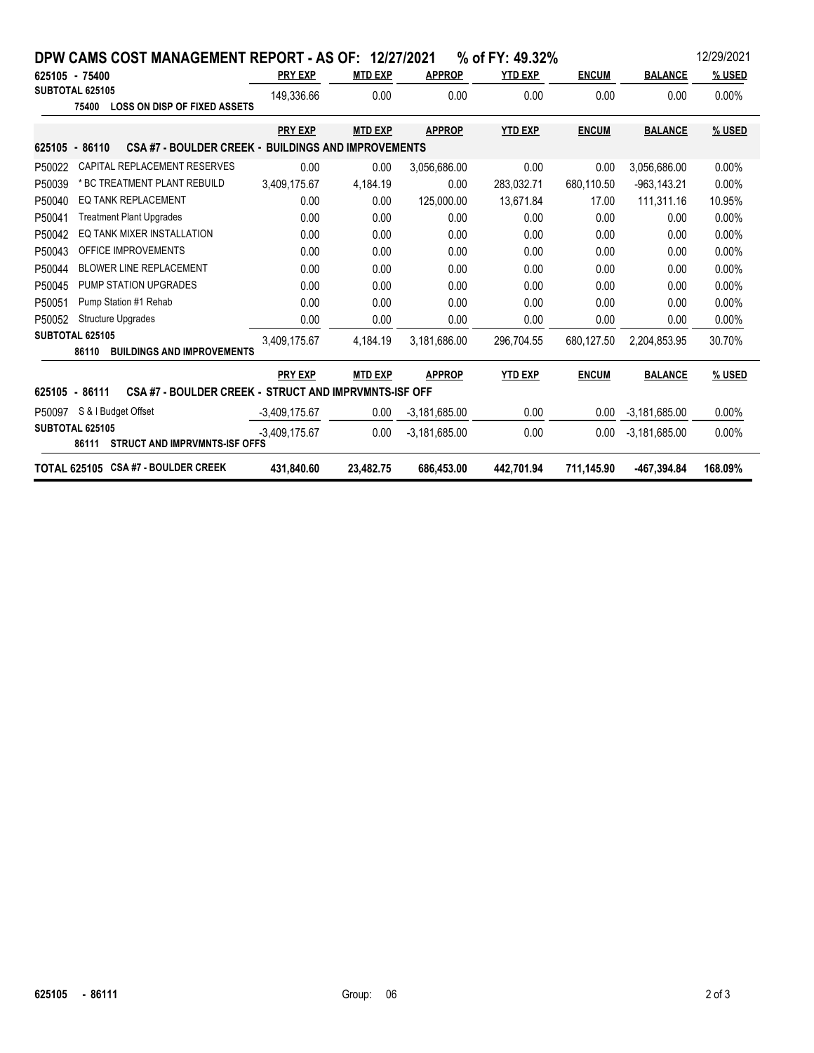|        |                          | DPW CAMS COST MANAGEMENT REPORT - AS OF: 12/27/2021        |                 |                |                 | % of FY: 49.32% |              |                 | 12/29/2021 |
|--------|--------------------------|------------------------------------------------------------|-----------------|----------------|-----------------|-----------------|--------------|-----------------|------------|
|        | 625105 - 75400           |                                                            | <b>PRY EXP</b>  | <b>MTD EXP</b> | <b>APPROP</b>   | <b>YTD EXP</b>  | <b>ENCUM</b> | <b>BALANCE</b>  | % USED     |
|        | SUBTOTAL 625105<br>75400 | <b>LOSS ON DISP OF FIXED ASSETS</b>                        | 149.336.66      | 0.00           | 0.00            | 0.00            | 0.00         | 0.00            | 0.00%      |
|        |                          |                                                            | <b>PRY EXP</b>  | <b>MTD EXP</b> | <b>APPROP</b>   | <b>YTD EXP</b>  | <b>ENCUM</b> | <b>BALANCE</b>  | % USED     |
|        | 625105 - 86110           | <b>CSA #7 - BOULDER CREEK - BUILDINGS AND IMPROVEMENTS</b> |                 |                |                 |                 |              |                 |            |
| P50022 |                          | CAPITAL REPLACEMENT RESERVES                               | 0.00            | 0.00           | 3,056,686.00    | 0.00            | 0.00         | 3,056,686.00    | 0.00%      |
| P50039 |                          | * BC TREATMENT PLANT REBUILD                               | 3,409,175.67    | 4,184.19       | 0.00            | 283,032.71      | 680.110.50   | $-963, 143.21$  | 0.00%      |
| P50040 |                          | <b>EQ TANK REPLACEMENT</b>                                 | 0.00            | 0.00           | 125,000.00      | 13.671.84       | 17.00        | 111,311.16      | 10.95%     |
| P50041 |                          | <b>Treatment Plant Upgrades</b>                            | 0.00            | 0.00           | 0.00            | 0.00            | 0.00         | 0.00            | 0.00%      |
| P50042 |                          | EQ TANK MIXER INSTALLATION                                 | 0.00            | 0.00           | 0.00            | 0.00            | 0.00         | 0.00            | $0.00\%$   |
| P50043 |                          | OFFICE IMPROVEMENTS                                        | 0.00            | 0.00           | 0.00            | 0.00            | 0.00         | 0.00            | $0.00\%$   |
| P50044 |                          | <b>BLOWER LINE REPLACEMENT</b>                             | 0.00            | 0.00           | 0.00            | 0.00            | 0.00         | 0.00            | 0.00%      |
| P50045 |                          | PUMP STATION UPGRADES                                      | 0.00            | 0.00           | 0.00            | 0.00            | 0.00         | 0.00            | 0.00%      |
| P50051 |                          | Pump Station #1 Rehab                                      | 0.00            | 0.00           | 0.00            | 0.00            | 0.00         | 0.00            | 0.00%      |
| P50052 |                          | <b>Structure Upgrades</b>                                  | 0.00            | 0.00           | 0.00            | 0.00            | 0.00         | 0.00            | 0.00%      |
|        | SUBTOTAL 625105<br>86110 | <b>BUILDINGS AND IMPROVEMENTS</b>                          | 3.409.175.67    | 4.184.19       | 3.181.686.00    | 296.704.55      | 680.127.50   | 2.204.853.95    | 30.70%     |
|        |                          |                                                            | <b>PRY EXP</b>  | <b>MTD EXP</b> | <b>APPROP</b>   | <b>YTD EXP</b>  | <b>ENCUM</b> | <b>BALANCE</b>  | % USED     |
|        | 625105 - 86111           | CSA #7 - BOULDER CREEK - STRUCT AND IMPRVMNTS-ISF OFF      |                 |                |                 |                 |              |                 |            |
| P50097 |                          | S & I Budget Offset                                        | $-3,409,175.67$ | 0.00           | $-3,181,685.00$ | 0.00            | 0.00         | $-3.181,685.00$ | $0.00\%$   |
|        | <b>SUBTOTAL 625105</b>   | 86111 STRUCT AND IMPRVMNTS-ISF OFFS                        | $-3.409.175.67$ | 0.00           | $-3.181.685.00$ | 0.00            | 0.00         | $-3.181,685.00$ | 0.00%      |
|        |                          | TOTAL 625105 CSA #7 - BOULDER CREEK                        | 431,840.60      | 23,482.75      | 686,453.00      | 442,701.94      | 711,145.90   | -467,394.84     | 168.09%    |